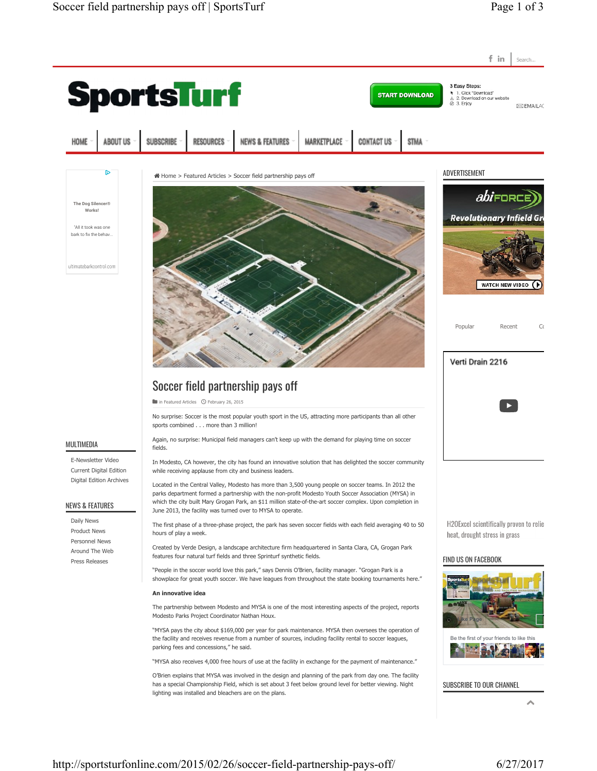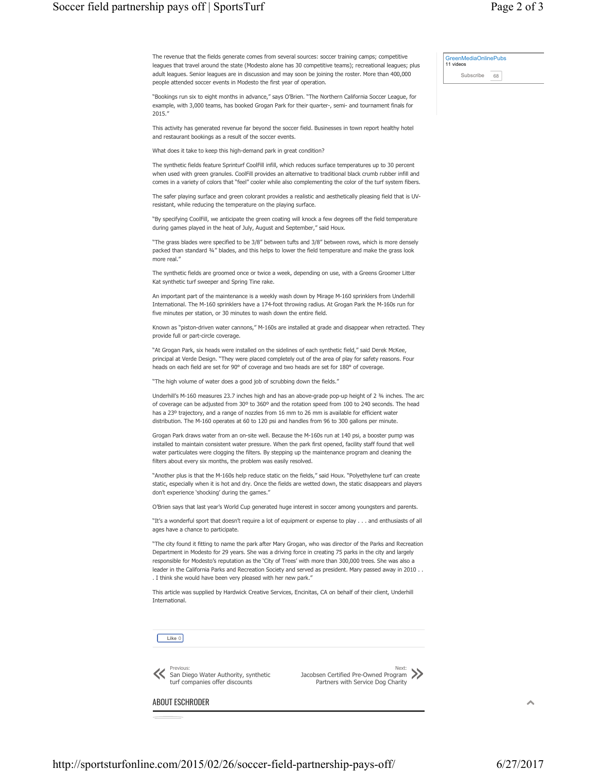The revenue that the fields generate comes from several sources: soccer training camps; competitive leagues that travel around the state (Modesto alone has 30 competitive teams); recreational leagues; plus adult leagues. Senior leagues are in discussion and may soon be joining the roster. More than 400,000 people attended soccer events in Modesto the first year of operation.

"Bookings run six to eight months in advance," says O'Brien. "The Northern California Soccer League, for example, with 3,000 teams, has booked Grogan Park for their quarter-, semi- and tournament finals for 2015."

This activity has generated revenue far beyond the soccer field. Businesses in town report healthy hotel and restaurant bookings as a result of the soccer events.

What does it take to keep this high-demand park in great condition?

The synthetic fields feature Sprinturf CoolFill infill, which reduces surface temperatures up to 30 percent when used with green granules. CoolFill provides an alternative to traditional black crumb rubber infill and comes in a variety of colors that "feel" cooler while also complementing the color of the turf system fibers.

The safer playing surface and green colorant provides a realistic and aesthetically pleasing field that is UVresistant, while reducing the temperature on the playing surface.

"By specifying CoolFill, we anticipate the green coating will knock a few degrees off the field temperature during games played in the heat of July, August and September," said Houx.

"The grass blades were specified to be 3/8" between tufts and 3/8" between rows, which is more densely packed than standard ¾" blades, and this helps to lower the field temperature and make the grass look more real."

The synthetic fields are groomed once or twice a week, depending on use, with a Greens Groomer Litter Kat synthetic turf sweeper and Spring Tine rake.

An important part of the maintenance is a weekly wash down by Mirage M-160 sprinklers from Underhill International. The M-160 sprinklers have a 174-foot throwing radius. At Grogan Park the M-160s run for five minutes per station, or 30 minutes to wash down the entire field.

Known as "piston-driven water cannons," M-160s are installed at grade and disappear when retracted. They provide full or part-circle coverage.

"At Grogan Park, six heads were installed on the sidelines of each synthetic field," said Derek McKee, principal at Verde Design. "They were placed completely out of the area of play for safety reasons. Four heads on each field are set for 90° of coverage and two heads are set for 180° of coverage.

"The high volume of water does a good job of scrubbing down the fields."

Underhill's M-160 measures 23.7 inches high and has an above-grade pop-up height of 2 ¾ inches. The arc of coverage can be adjusted from 30º to 360º and the rotation speed from 100 to 240 seconds. The head has a 23º trajectory, and a range of nozzles from 16 mm to 26 mm is available for efficient water distribution. The M-160 operates at 60 to 120 psi and handles from 96 to 300 gallons per minute.

Grogan Park draws water from an on-site well. Because the M-160s run at 140 psi, a booster pump was installed to maintain consistent water pressure. When the park first opened, facility staff found that well water particulates were clogging the filters. By stepping up the maintenance program and cleaning the filters about every six months, the problem was easily resolved.

"Another plus is that the M-160s help reduce static on the fields," said Houx. "Polyethylene turf can create static, especially when it is hot and dry. Once the fields are wetted down, the static disappears and players don't experience 'shocking' during the games."

O'Brien says that last year's World Cup generated huge interest in soccer among youngsters and parents.

"It's a wonderful sport that doesn't require a lot of equipment or expense to play . . . and enthusiasts of all ages have a chance to participate.

"The city found it fitting to name the park after Mary Grogan, who was director of the Parks and Recreation Department in Modesto for 29 years. She was a driving force in creating 75 parks in the city and largely responsible for Modesto's reputation as the 'City of Trees' with more than 300,000 trees. She was also a leader in the California Parks and Recreation Society and served as president. Mary passed away in 2010 . . . I think she would have been very pleased with her new park."

This article was supplied by Hardwick Creative Services, Encinitas, CA on behalf of their client, Underhill International.



Previous: San Diego Water Authority, synthetic<br>turf companies offer discounts

Next: Jacobsen Certified Pre-Owned Program Partners with Service Dog Charity »

ABOUT ESCHRODER

ㅅ

GreenMediaOnlinePubs 11 videos